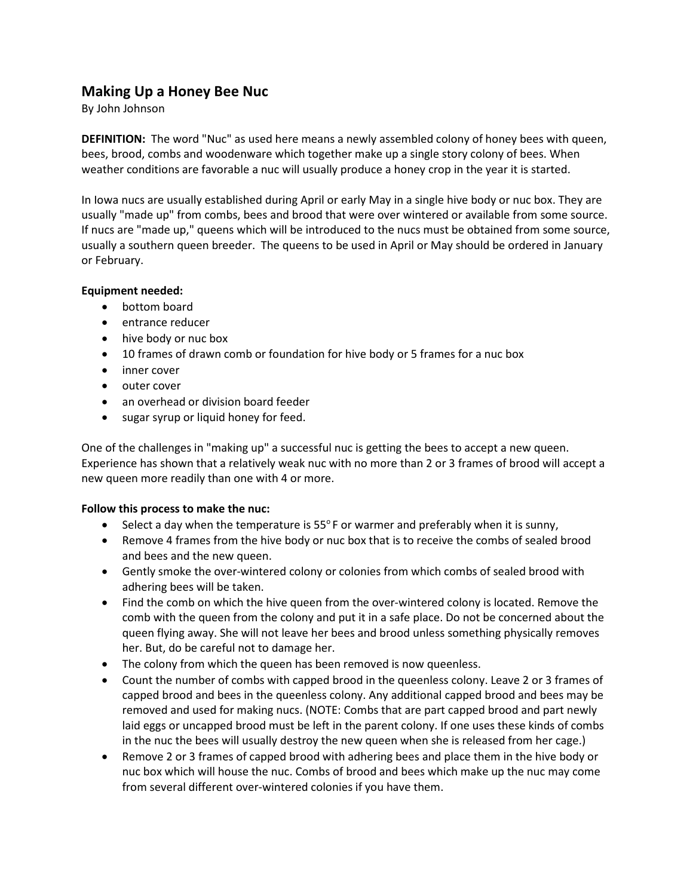# **Making Up a Honey Bee Nuc**

## By John Johnson

**DEFINITION:** The word "Nuc" as used here means a newly assembled colony of honey bees with queen, bees, brood, combs and woodenware which together make up a single story colony of bees. When weather conditions are favorable a nuc will usually produce a honey crop in the year it is started.

In Iowa nucs are usually established during April or early May in a single hive body or nuc box. They are usually "made up" from combs, bees and brood that were over wintered or available from some source. If nucs are "made up," queens which will be introduced to the nucs must be obtained from some source, usually a southern queen breeder. The queens to be used in April or May should be ordered in January or February.

## **Equipment needed:**

- bottom board
- entrance reducer
- hive body or nuc box
- 10 frames of drawn comb or foundation for hive body or 5 frames for a nuc box
- inner cover
- outer cover
- an overhead or division board feeder
- sugar syrup or liquid honey for feed.

One of the challenges in "making up" a successful nuc is getting the bees to accept a new queen. Experience has shown that a relatively weak nuc with no more than 2 or 3 frames of brood will accept a new queen more readily than one with 4 or more.

#### **Follow this process to make the nuc:**

- $\bullet$  Select a day when the temperature is 55 $\circ$ F or warmer and preferably when it is sunny,
- Remove 4 frames from the hive body or nuc box that is to receive the combs of sealed brood and bees and the new queen.
- Gently smoke the over-wintered colony or colonies from which combs of sealed brood with adhering bees will be taken.
- Find the comb on which the hive queen from the over-wintered colony is located. Remove the comb with the queen from the colony and put it in a safe place. Do not be concerned about the queen flying away. She will not leave her bees and brood unless something physically removes her. But, do be careful not to damage her.
- The colony from which the queen has been removed is now queenless.
- Count the number of combs with capped brood in the queenless colony. Leave 2 or 3 frames of capped brood and bees in the queenless colony. Any additional capped brood and bees may be removed and used for making nucs. (NOTE: Combs that are part capped brood and part newly laid eggs or uncapped brood must be left in the parent colony. If one uses these kinds of combs in the nuc the bees will usually destroy the new queen when she is released from her cage.)
- Remove 2 or 3 frames of capped brood with adhering bees and place them in the hive body or nuc box which will house the nuc. Combs of brood and bees which make up the nuc may come from several different over-wintered colonies if you have them.